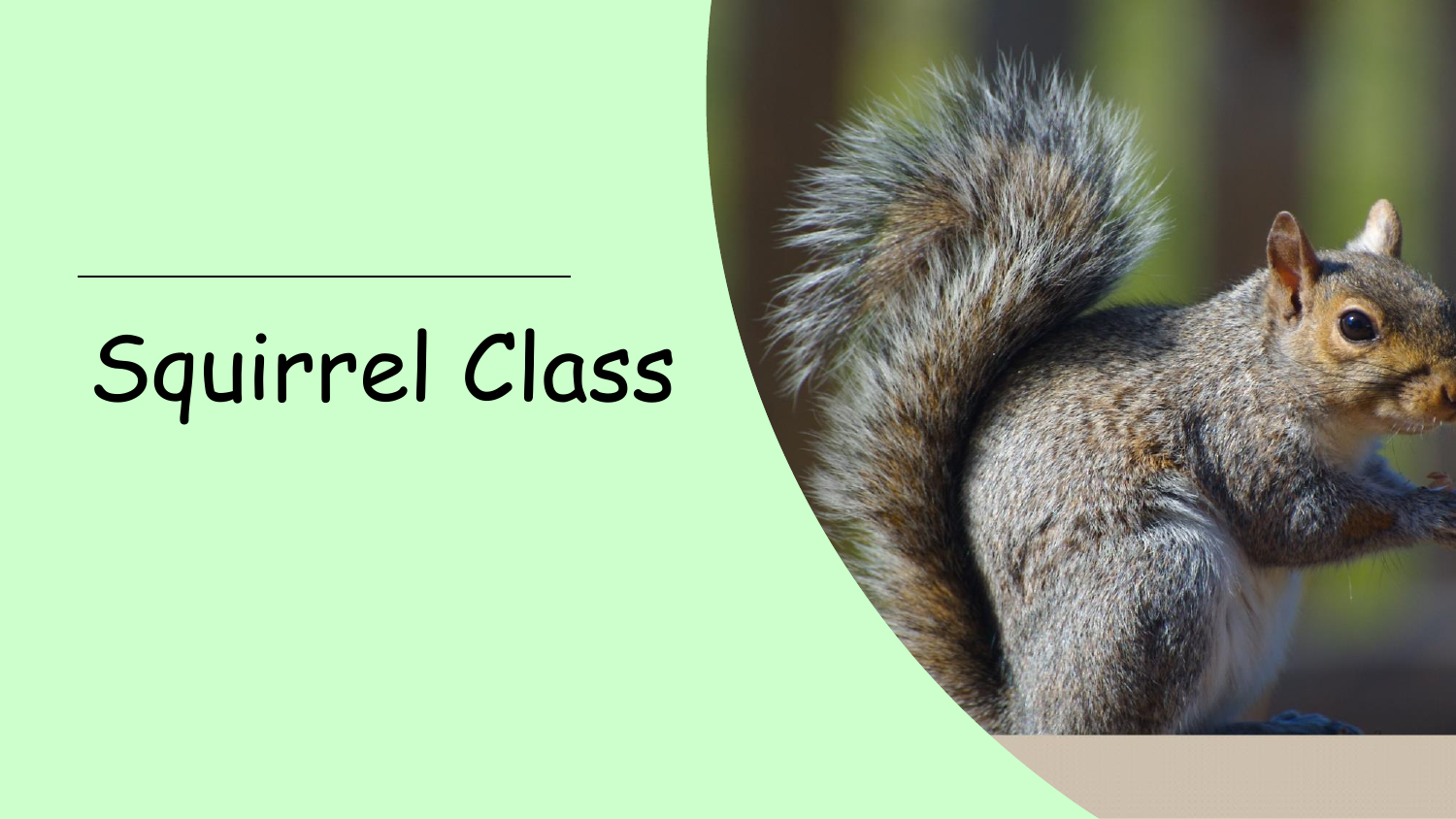# Squirrel Class

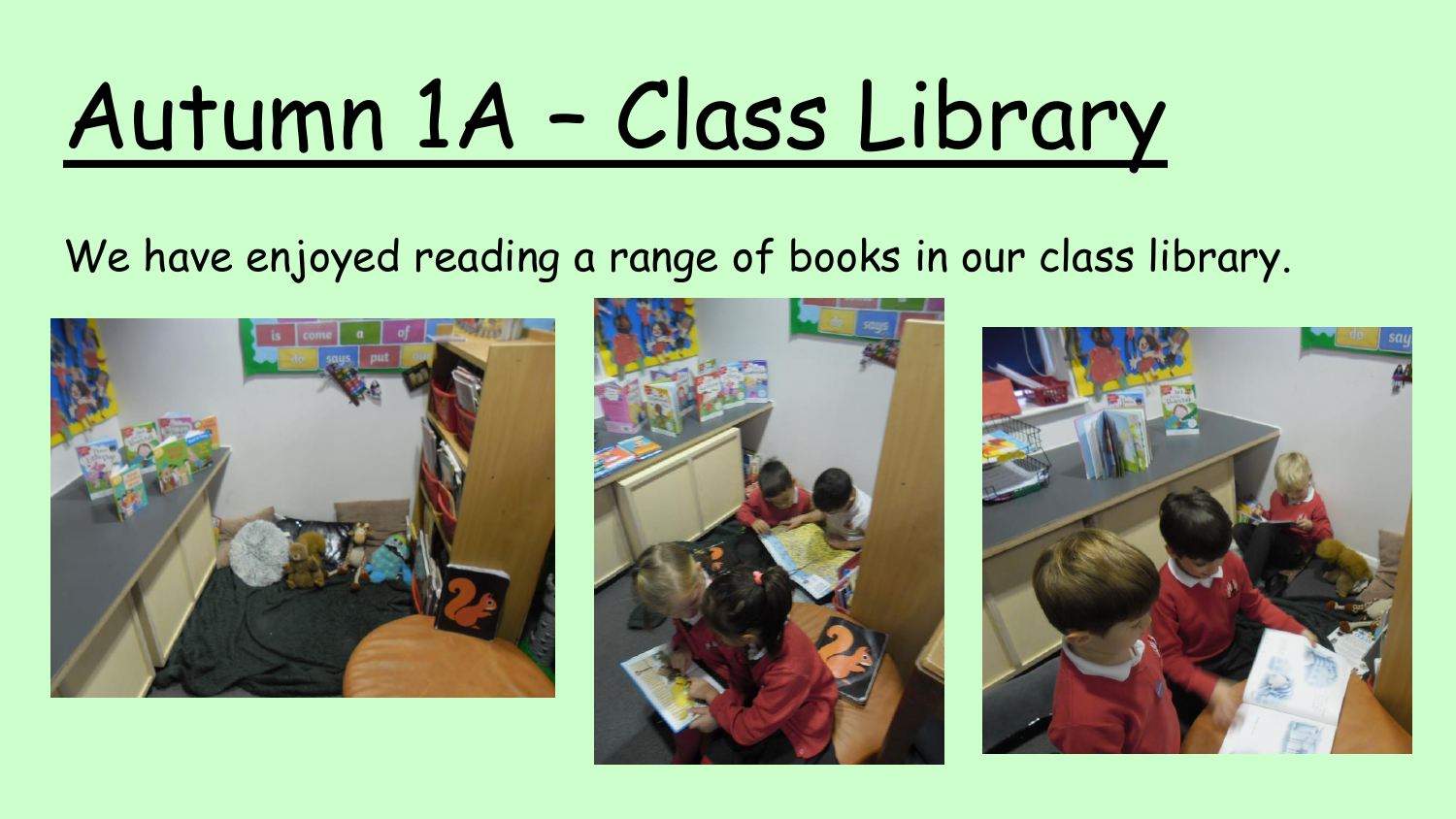# Autumn 1A – Class Library

#### We have enjoyed reading a range of books in our class library.





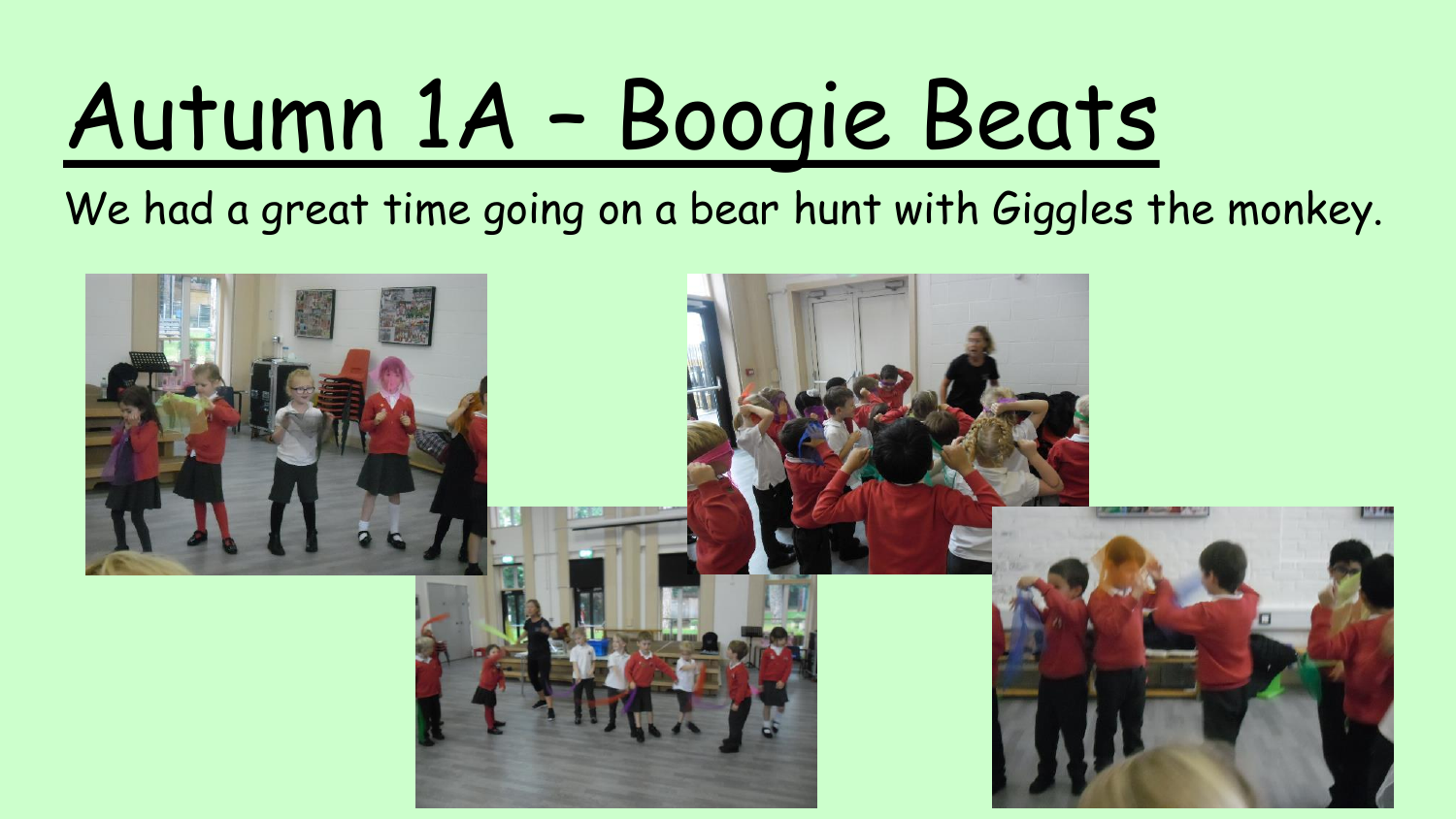# Autumn 1A – Boogie Beats

We had a great time going on a bear hunt with Giggles the monkey.

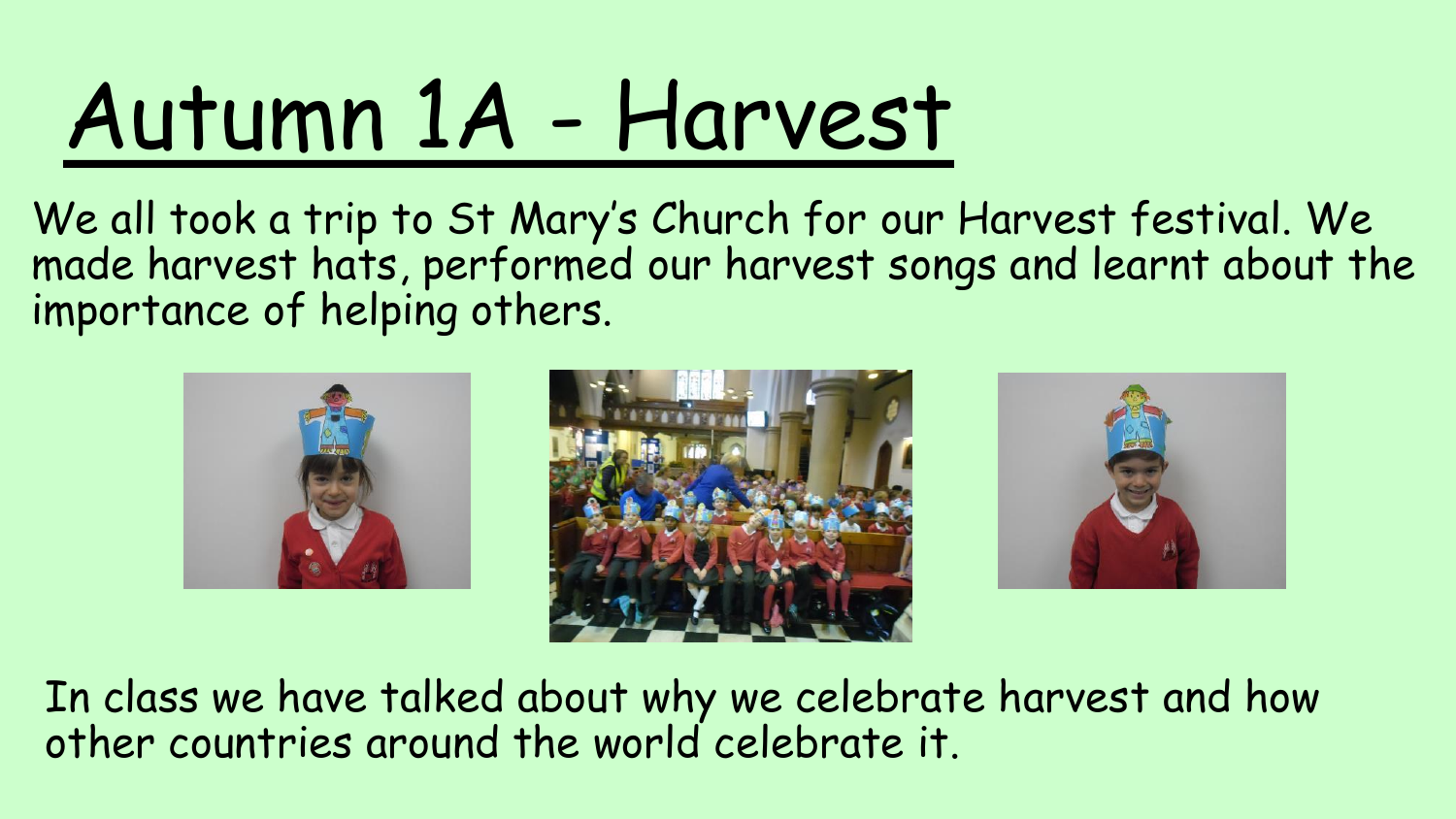## Autumn 1A - Harvest

We all took a trip to St Mary's Church for our Harvest festival. We made harvest hats, performed our harvest songs and learnt about the importance of helping others.







In class we have talked about why we celebrate harvest and how other countries around the world celebrate it.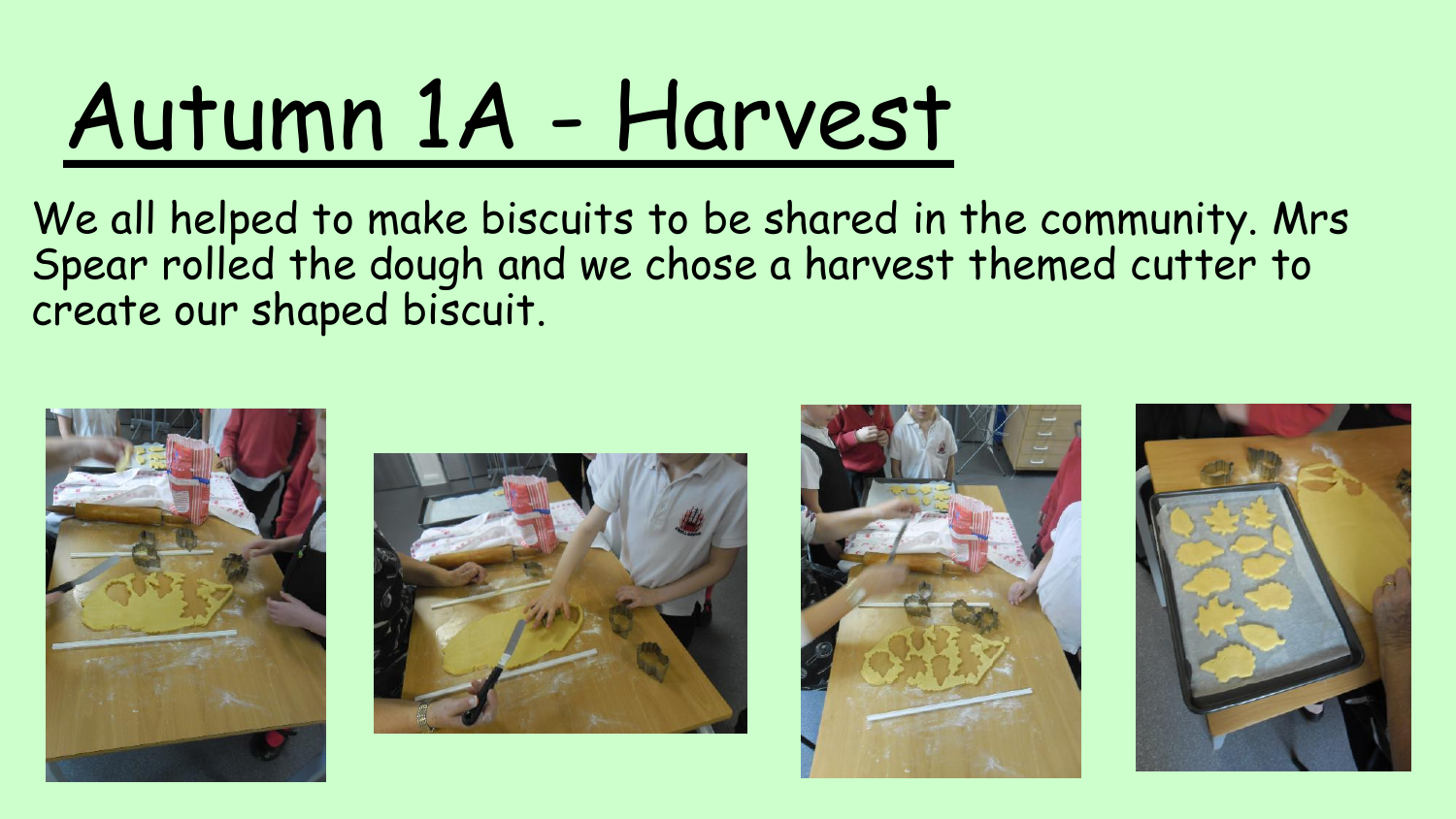## Autumn 1A - Harvest

We all helped to make biscuits to be shared in the community. Mrs Spear rolled the dough and we chose a harvest themed cutter to create our shaped biscuit.







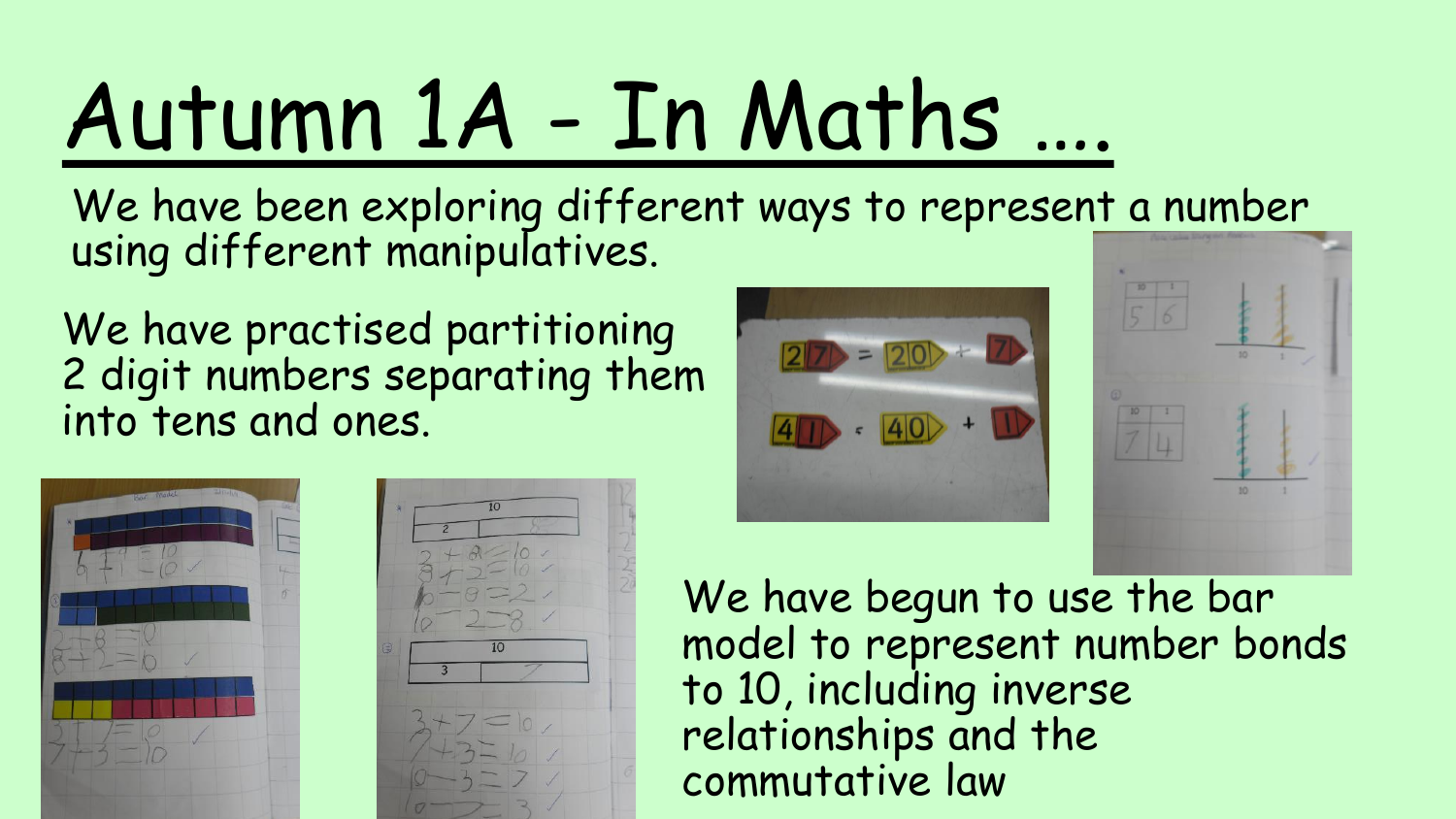## Autumn 1A - In Maths ….

We have been exploring different ways to represent a number using different manipulatives.

We have practised partitioning 2 digit numbers separating them into tens and ones.







We have begun to use the bar model to represent number bonds to 10, including inverse relationships and the commutative law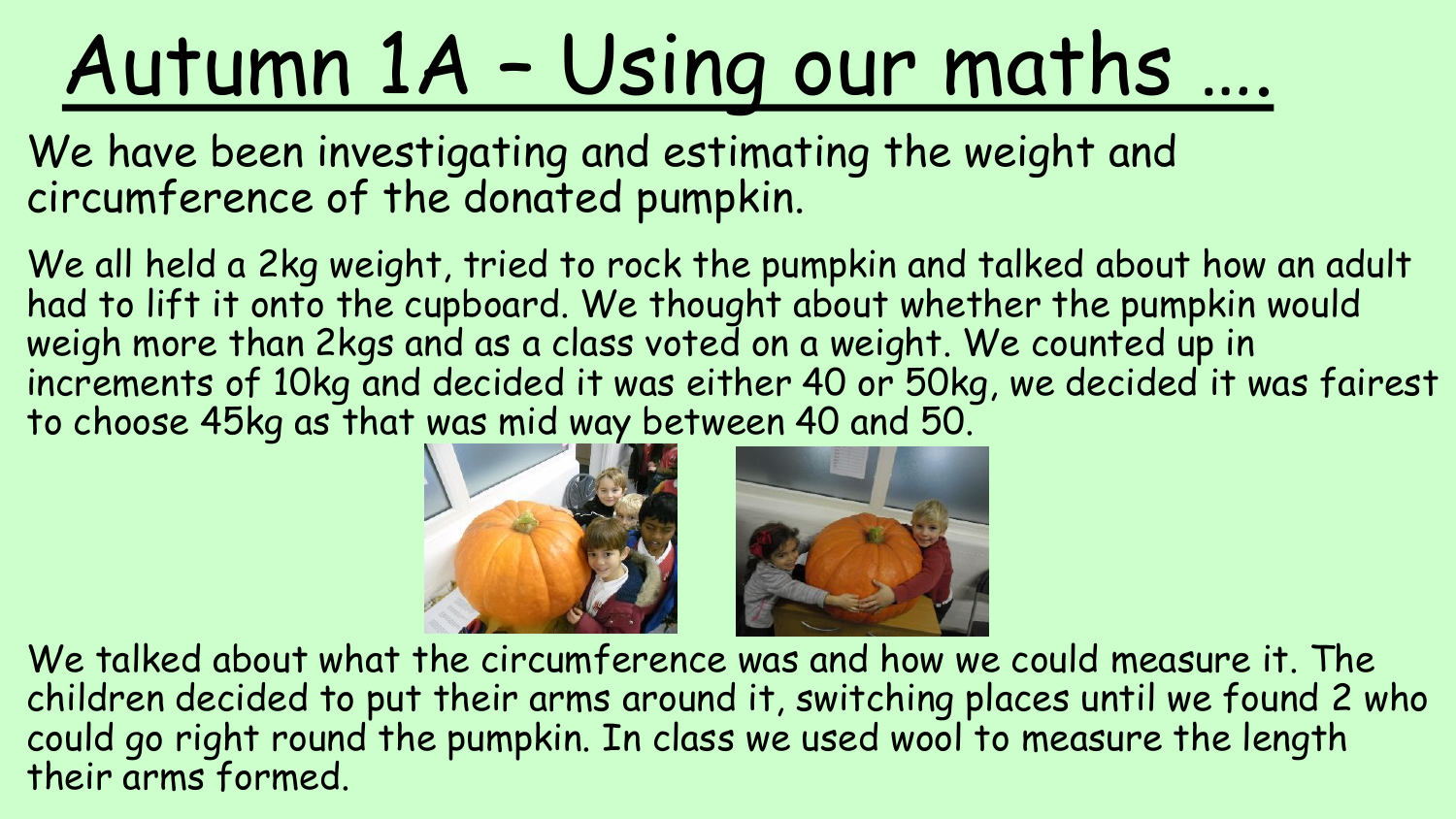#### Autumn 1A – Using our maths ….

We have been investigating and estimating the weight and circumference of the donated pumpkin.

We all held a 2kg weight, tried to rock the pumpkin and talked about how an adult had to lift it onto the cupboard. We thought about whether the pumpkin would weigh more than 2kgs and as a class voted on a weight. We counted up in increments of 10kg and decided it was either 40 or 50kg, we decided it was fairest to choose 45kg as that was mid way between 40 and 50.



We talked about what the circumference was and how we could measure it. The children decided to put their arms around it, switching places until we found 2 who could go right round the pumpkin. In class we used wool to measure the length their arms formed.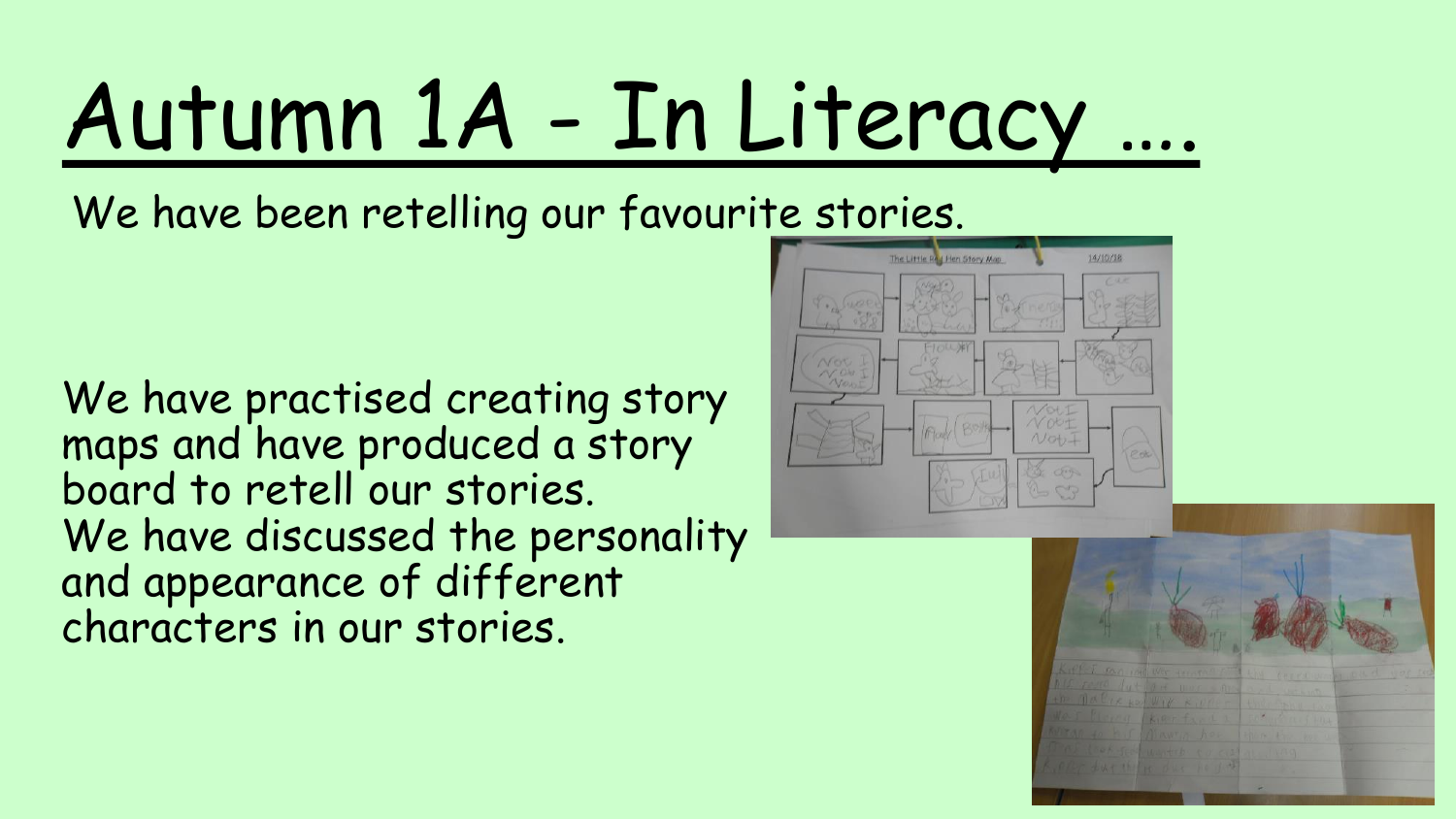## Autumn 1A - In Literacy ….

We have been retelling our favourite stories.

We have practised creating story maps and have produced a story board to retell our stories. We have discussed the personality and appearance of different characters in our stories.



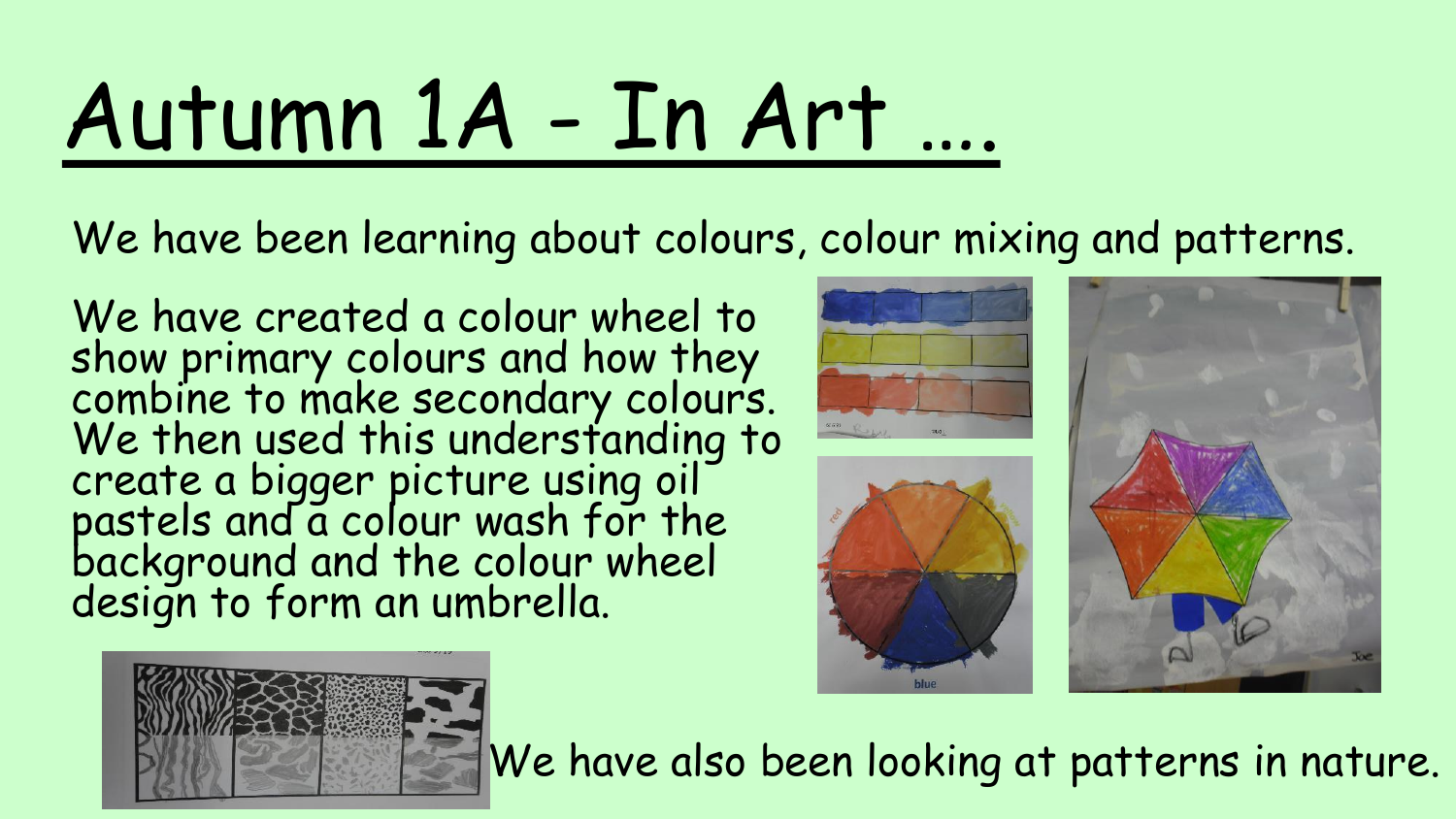#### Autumn 1A - In Art ….

We have been learning about colours, colour mixing and patterns.

We have created a colour wheel to show primary colours and how they combine to make secondary colours. We then used this understanding to create a bigger picture using oil pastels and a colour wash for the background and the colour wheel design to form an umbrella.









We have also been looking at patterns in nature.